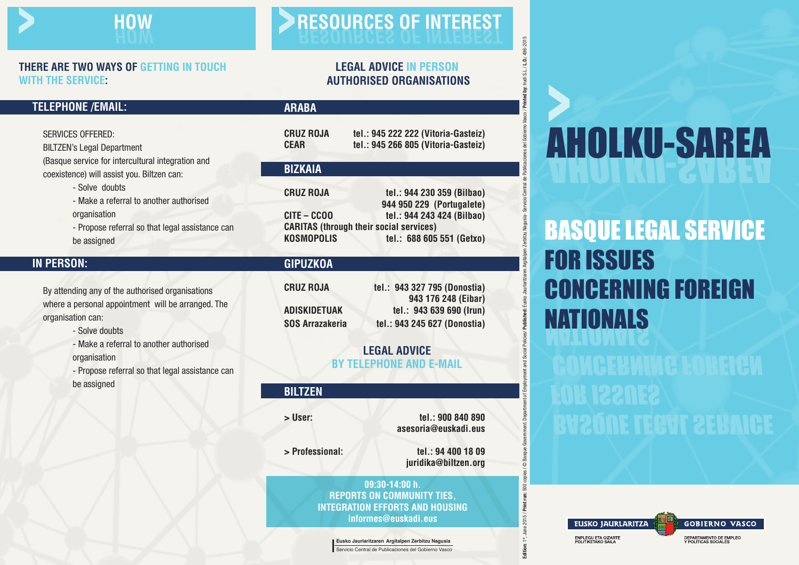

#### **THERE ARE TWO WAYS OF GETTING IN TOUCH WITH THE SERVICE:**

#### **LEGAL ADVICE IN PERSON AUTHORISED ORGANISATIONS**

#### **TELEPHONE /EMAIL:**

| Services offered:                      |
|----------------------------------------|
| <b>BILTZEN's Legal Department</b>      |
| Rasque service for intercultural inte) |

service for intercultural integration and coexistence) will assist you. Biltzen can:

- Solve doubts

- Make a referral to another authorised organisation

- Propose referral so that legal assistance can be assigned

### **IN PERSON:**

By attending any of the authorised organisations where a personal appointment will be arranged. The organisation can:

- Solve doubts
- Make a referral to another authorised organisation
- Propose referral so that legal assistance can be assigned

#### **ARABA**

| <b>CRUZ ROJA</b> | tel.: 945 222 222 (Vitoria-Gasteiz) |
|------------------|-------------------------------------|
| <b>CEAR</b>      | tel.: 945 266 805 (Vitoria-Gasteiz) |

#### **BIZKAIA CRUZ ROJA tel.: 944 230 359 (Bilbao) 944 950 229 (Portugalete) CITE – CCOO tel.: 944 243 424 (Bilbao) CARITAS (through their social services) KOSMOPOLIS tel.: 688 605 551 (Getxo)**

#### **GIPUZKOA**

| CRUZ ROJA       | tel.: 943 327 795 (Donostia) |
|-----------------|------------------------------|
|                 | 943 176 248 (Eibar)          |
| ADISKIDETUAK    | tel.: 943 639 690 (Irun)     |
| SOS Arrazakeria | tel.: 943 245 627 (Donostia) |

#### **LEGAL ADVICE BY TELEPHONE AND E-MAIL**

| <b>BILTZEN</b>  |                                            |
|-----------------|--------------------------------------------|
| > User:         | tel.: 900 840 890<br>asesoria@euskadi.eus  |
| > Professional: | tel.: 94 400 18 09<br>juridika@biltzen.org |
|                 |                                            |

**09:30-14:00 h. REPORTS ON COMMUNITY TIES, INTEGRATION EFFORTS AND HOUSING informes@euskadi.eus**

**Eusko Jaurlaritzaren Argitalpen Zerbitzu Nagusia** Servicio Central de Publicaciones del Gobierno Vasco

# **AHOLKU-SAREA**

NATIONALS BASQUE LEGAL SERVICE FOR ISSUES CONCERNING FOREIGN

Edition: "#, June 2015 / Mint run: 500 copies / © Basque Government Department dimplomation(ies/ Published: Eusko Jauriarizaren Argitalpen Zentizu Nagusia-Servicio Central de Publicaciones del Gobierno Vasco/ Printed by: I

of Emplo

**Argitalpen** Zert

del Gobiern

bublicad

## BASQUE LEGAL SERVICE FOR ISSUES CONCERNING FOREIGN



DEPARTAMENTO DE EMPLEO Y POLÍTICAS SOCIALES